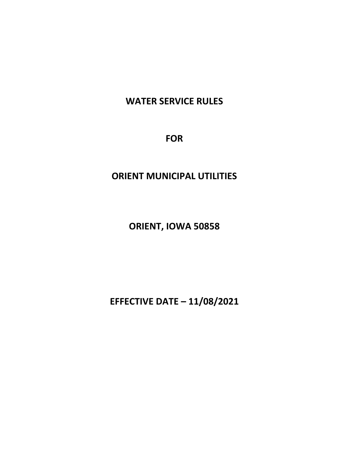# **WATER SERVICE RULES**

**FOR**

# **ORIENT MUNICIPAL UTILITIES**

**ORIENT, IOWA 50858**

**EFFECTIVE DATE – 11/08/2021**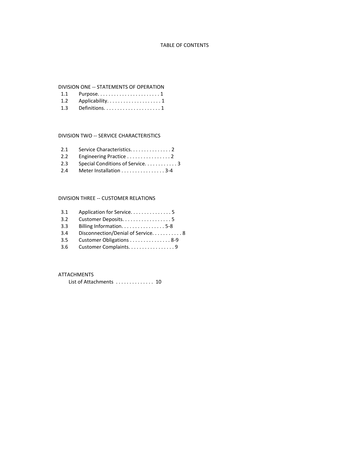## TABLE OF CONTENTS

#### DIVISION ONE -- STATEMENTS OF OPERATION

| 1.2 Applicability. 1 |
|----------------------|
|                      |

## DIVISION TWO -- SERVICE CHARACTERISTICS

| 2.2 Engineering Practice 2 |  |
|----------------------------|--|

- 2.3 Special Conditions of Service. . . . . . . . . . . 3
- 2.4 Meter Installation . . . . . . . . . . . . . . . . 3-4

#### DIVISION THREE -- CUSTOMER RELATIONS

| 3.1 | Application for Service5          |
|-----|-----------------------------------|
| 3.2 | Customer Deposits. 5              |
| 3.3 | Billing Information. 5-8          |
| 3.4 | Disconnection/Denial of Service 8 |
| 3.5 | Customer Obligations 8-9          |
| 3.6 | Customer Complaints. 9            |

## ATTACHMENTS

List of Attachments . . . . . . . . . . . . . 10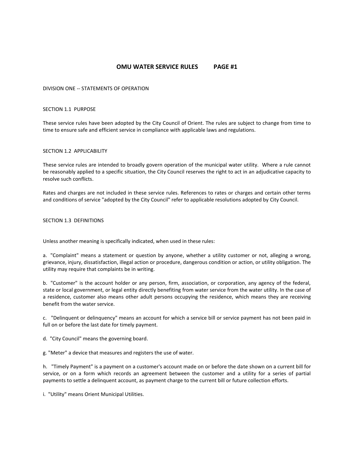# **OMU WATER SERVICE RULES PAGE #1**

DIVISION ONE -- STATEMENTS OF OPERATION

## SECTION 1.1 PURPOSE

These service rules have been adopted by the City Council of Orient. The rules are subject to change from time to time to ensure safe and efficient service in compliance with applicable laws and regulations.

## SECTION 1.2 APPLICABILITY

These service rules are intended to broadly govern operation of the municipal water utility. Where a rule cannot be reasonably applied to a specific situation, the City Council reserves the right to act in an adjudicative capacity to resolve such conflicts.

Rates and charges are not included in these service rules. References to rates or charges and certain other terms and conditions of service "adopted by the City Council" refer to applicable resolutions adopted by City Council.

## SECTION 1.3 DEFINITIONS

Unless another meaning is specifically indicated, when used in these rules:

a. "Complaint" means a statement or question by anyone, whether a utility customer or not, alleging a wrong, grievance, injury, dissatisfaction, illegal action or procedure, dangerous condition or action, or utility obligation. The utility may require that complaints be in writing.

b. "Customer" is the account holder or any person, firm, association, or corporation, any agency of the federal, state or local government, or legal entity directly benefiting from water service from the water utility. In the case of a residence, customer also means other adult persons occupying the residence, which means they are receiving benefit from the water service.

c. "Delinquent or delinquency" means an account for which a service bill or service payment has not been paid in full on or before the last date for timely payment.

d. "City Council" means the governing board.

g. "Meter" a device that measures and registers the use of water.

h. "Timely Payment" is a payment on a customer's account made on or before the date shown on a current bill for service, or on a form which records an agreement between the customer and a utility for a series of partial payments to settle a delinquent account, as payment charge to the current bill or future collection efforts.

i. "Utility" means Orient Municipal Utilities.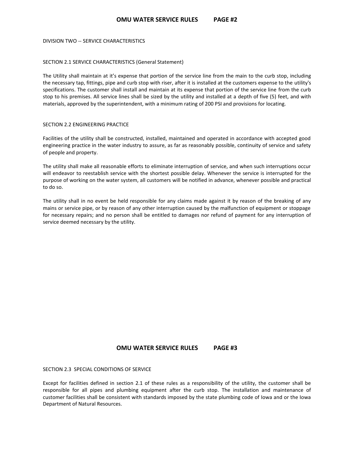DIVISION TWO -- SERVICE CHARACTERISTICS

## SECTION 2.1 SERVICE CHARACTERISTICS (General Statement)

The Utility shall maintain at it's expense that portion of the service line from the main to the curb stop, including the necessary tap, fittings, pipe and curb stop with riser, after it is installed at the customers expense to the utility's specifications. The customer shall install and maintain at its expense that portion of the service line from the curb stop to his premises. All service lines shall be sized by the utility and installed at a depth of five (5) feet, and with materials, approved by the superintendent, with a minimum rating of 200 PSI and provisions for locating.

## SECTION 2.2 ENGINEERING PRACTICE

Facilities of the utility shall be constructed, installed, maintained and operated in accordance with accepted good engineering practice in the water industry to assure, as far as reasonably possible, continuity of service and safety of people and property.

The utility shall make all reasonable efforts to eliminate interruption of service, and when such interruptions occur will endeavor to reestablish service with the shortest possible delay. Whenever the service is interrupted for the purpose of working on the water system, all customers will be notified in advance, whenever possible and practical to do so.

The utility shall in no event be held responsible for any claims made against it by reason of the breaking of any mains or service pipe, or by reason of any other interruption caused by the malfunction of equipment or stoppage for necessary repairs; and no person shall be entitled to damages nor refund of payment for any interruption of service deemed necessary by the utility.

## **OMU WATER SERVICE RULES PAGE #3**

SECTION 2.3 SPECIAL CONDITIONS OF SERVICE

Except for facilities defined in section 2.1 of these rules as a responsibility of the utility, the customer shall be responsible for all pipes and plumbing equipment after the curb stop. The installation and maintenance of customer facilities shall be consistent with standards imposed by the state plumbing code of Iowa and or the Iowa Department of Natural Resources.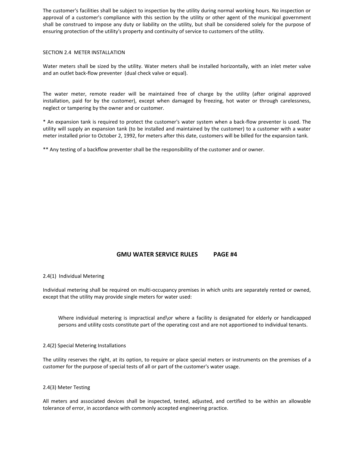The customer's facilities shall be subject to inspection by the utility during normal working hours. No inspection or approval of a customer's compliance with this section by the utility or other agent of the municipal government shall be construed to impose any duty or liability on the utility, but shall be considered solely for the purpose of ensuring protection of the utility's property and continuity of service to customers of the utility.

## SECTION 2.4 METER INSTALLATION

Water meters shall be sized by the utility. Water meters shall be installed horizontally, with an inlet meter valve and an outlet back-flow preventer (dual check valve or equal).

The water meter, remote reader will be maintained free of charge by the utility (after original approved installation, paid for by the customer), except when damaged by freezing, hot water or through carelessness, neglect or tampering by the owner and or customer.

\* An expansion tank is required to protect the customer's water system when a back-flow preventer is used. The utility will supply an expansion tank (to be installed and maintained by the customer) to a customer with a water meter installed prior to October 2, 1992, for meters after this date, customers will be billed for the expansion tank.

\*\* Any testing of a backflow preventer shall be the responsibility of the customer and or owner.

# **GMU WATER SERVICE RULES PAGE #4**

## 2.4(1) Individual Metering

Individual metering shall be required on multi-occupancy premises in which units are separately rented or owned, except that the utility may provide single meters for water used:

Where individual metering is impractical and\or where a facility is designated for elderly or handicapped persons and utility costs constitute part of the operating cost and are not apportioned to individual tenants.

## 2.4(2) Special Metering Installations

The utility reserves the right, at its option, to require or place special meters or instruments on the premises of a customer for the purpose of special tests of all or part of the customer's water usage.

## 2.4(3) Meter Testing

All meters and associated devices shall be inspected, tested, adjusted, and certified to be within an allowable tolerance of error, in accordance with commonly accepted engineering practice.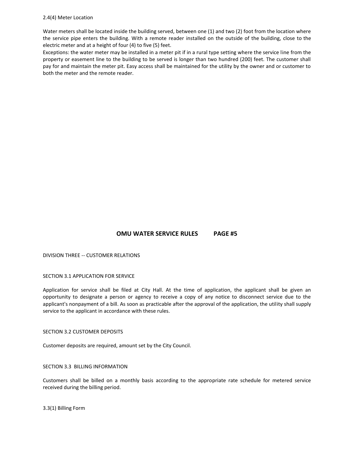## 2.4(4) Meter Location

Water meters shall be located inside the building served, between one (1) and two (2) foot from the location where the service pipe enters the building. With a remote reader installed on the outside of the building, close to the electric meter and at a height of four (4) to five (5) feet.

Exceptions: the water meter may be installed in a meter pit if in a rural type setting where the service line from the property or easement line to the building to be served is longer than two hundred (200) feet. The customer shall pay for and maintain the meter pit. Easy access shall be maintained for the utility by the owner and or customer to both the meter and the remote reader.

# **OMU WATER SERVICE RULES PAGE #5**

DIVISION THREE -- CUSTOMER RELATIONS

## SECTION 3.1 APPLICATION FOR SERVICE

Application for service shall be filed at City Hall. At the time of application, the applicant shall be given an opportunity to designate a person or agency to receive a copy of any notice to disconnect service due to the applicant's nonpayment of a bill. As soon as practicable after the approval of the application, the utility shall supply service to the applicant in accordance with these rules.

## SECTION 3.2 CUSTOMER DEPOSITS

Customer deposits are required, amount set by the City Council.

## SECTION 3.3 BILLING INFORMATION

Customers shall be billed on a monthly basis according to the appropriate rate schedule for metered service received during the billing period.

3.3(1) Billing Form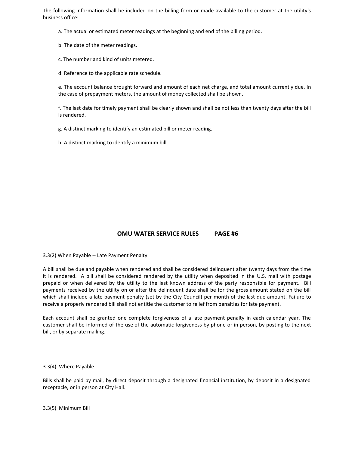The following information shall be included on the billing form or made available to the customer at the utility's business office:

- a. The actual or estimated meter readings at the beginning and end of the billing period.
- b. The date of the meter readings.
- c. The number and kind of units metered.
- d. Reference to the applicable rate schedule.

e. The account balance brought forward and amount of each net charge, and total amount currently due. In the case of prepayment meters, the amount of money collected shall be shown.

f. The last date for timely payment shall be clearly shown and shall be not less than twenty days after the bill is rendered.

g. A distinct marking to identify an estimated bill or meter reading.

h. A distinct marking to identify a minimum bill.

# **OMU WATER SERVICE RULES PAGE #6**

3.3(2) When Payable -- Late Payment Penalty

A bill shall be due and payable when rendered and shall be considered delinquent after twenty days from the time it is rendered. A bill shall be considered rendered by the utility when deposited in the U.S. mail with postage prepaid or when delivered by the utility to the last known address of the party responsible for payment. Bill payments received by the utility on or after the delinquent date shall be for the gross amount stated on the bill which shall include a late payment penalty (set by the City Council) per month of the last due amount. Failure to receive a properly rendered bill shall not entitle the customer to relief from penalties for late payment.

Each account shall be granted one complete forgiveness of a late payment penalty in each calendar year. The customer shall be informed of the use of the automatic forgiveness by phone or in person, by posting to the next bill, or by separate mailing.

## 3.3(4) Where Payable

Bills shall be paid by mail, by direct deposit through a designated financial institution, by deposit in a designated receptacle, or in person at City Hall.

3.3(5) Minimum Bill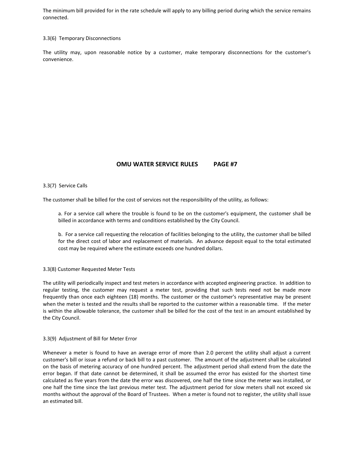The minimum bill provided for in the rate schedule will apply to any billing period during which the service remains connected.

#### 3.3(6) Temporary Disconnections

The utility may, upon reasonable notice by a customer, make temporary disconnections for the customer's convenience.

# **OMU WATER SERVICE RULES PAGE #7**

## 3.3(7) Service Calls

The customer shall be billed for the cost of services not the responsibility of the utility, as follows:

a. For a service call where the trouble is found to be on the customer's equipment, the customer shall be billed in accordance with terms and conditions established by the City Council.

b. For a service call requesting the relocation of facilities belonging to the utility, the customer shall be billed for the direct cost of labor and replacement of materials. An advance deposit equal to the total estimated cost may be required where the estimate exceeds one hundred dollars.

## 3.3(8) Customer Requested Meter Tests

The utility will periodically inspect and test meters in accordance with accepted engineering practice. In addition to regular testing, the customer may request a meter test, providing that such tests need not be made more frequently than once each eighteen (18) months. The customer or the customer's representative may be present when the meter is tested and the results shall be reported to the customer within a reasonable time. If the meter is within the allowable tolerance, the customer shall be billed for the cost of the test in an amount established by the City Council.

#### 3.3(9) Adjustment of Bill for Meter Error

Whenever a meter is found to have an average error of more than 2.0 percent the utility shall adjust a current customer's bill or issue a refund or back bill to a past customer. The amount of the adjustment shall be calculated on the basis of metering accuracy of one hundred percent. The adjustment period shall extend from the date the error began. If that date cannot be determined, it shall be assumed the error has existed for the shortest time calculated as five years from the date the error was discovered, one half the time since the meter was installed, or one half the time since the last previous meter test. The adjustment period for slow meters shall not exceed six months without the approval of the Board of Trustees. When a meter is found not to register, the utility shall issue an estimated bill.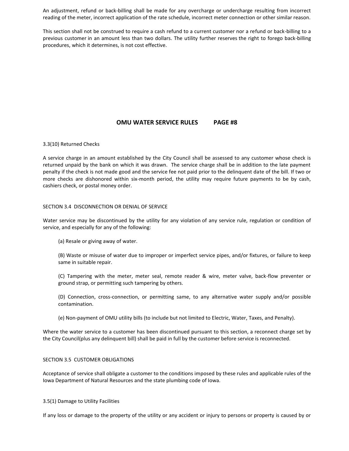An adjustment, refund or back-billing shall be made for any overcharge or undercharge resulting from incorrect reading of the meter, incorrect application of the rate schedule, incorrect meter connection or other similar reason.

This section shall not be construed to require a cash refund to a current customer nor a refund or back-billing to a previous customer in an amount less than two dollars. The utility further reserves the right to forego back-billing procedures, which it determines, is not cost effective.

## **OMU WATER SERVICE RULES PAGE #8**

## 3.3(10) Returned Checks

A service charge in an amount established by the City Council shall be assessed to any customer whose check is returned unpaid by the bank on which it was drawn. The service charge shall be in addition to the late payment penalty if the check is not made good and the service fee not paid prior to the delinquent date of the bill. If two or more checks are dishonored within six-month period, the utility may require future payments to be by cash, cashiers check, or postal money order.

## SECTION 3.4 DISCONNECTION OR DENIAL OF SERVICE

Water service may be discontinued by the utility for any violation of any service rule, regulation or condition of service, and especially for any of the following:

(a) Resale or giving away of water.

(B) Waste or misuse of water due to improper or imperfect service pipes, and/or fixtures, or failure to keep same in suitable repair.

(C) Tampering with the meter, meter seal, remote reader & wire, meter valve, back-flow preventer or ground strap, or permitting such tampering by others.

(D) Connection, cross-connection, or permitting same, to any alternative water supply and/or possible contamination.

(e) Non-payment of OMU utility bills (to include but not limited to Electric, Water, Taxes, and Penalty).

Where the water service to a customer has been discontinued pursuant to this section, a reconnect charge set by the City Council(plus any delinquent bill) shall be paid in full by the customer before service is reconnected.

#### SECTION 3.5 CUSTOMER OBLIGATIONS

Acceptance of service shall obligate a customer to the conditions imposed by these rules and applicable rules of the Iowa Department of Natural Resources and the state plumbing code of Iowa.

#### 3.5(1) Damage to Utility Facilities

If any loss or damage to the property of the utility or any accident or injury to persons or property is caused by or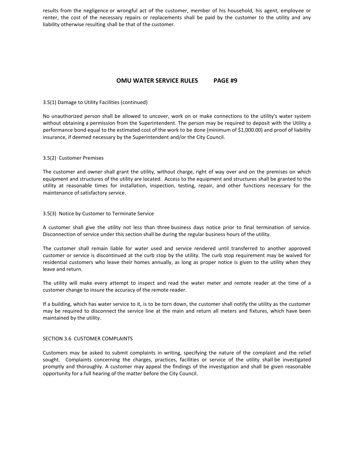results from the negligence or wrongful act of the customer, member of his household, his agent, employee or renter, the cost of the necessary repairs or replacements shall be paid by the customer to the utility and any liability otherwise resulting shall be that of the customer.

## **OMU WATER SERVICE RULES PAGE #9**

## 3.5(1) Damage to Utility Facilities (continued)

No unauthorized person shall be allowed to uncover, work on or make connections to the utility's water system without obtaining a permission from the Superintendent. The person may be required to deposit with the Utility a performance bond equal to the estimated cost of the work to be done (minimum of \$1,000.00) and proof of liability insurance, if deemed necessary by the Superintendent and/or the City Council.

## 3.5(2) Customer Premises

The customer and owner shall grant the utility, without charge, right of way over and on the premises on which equipment and structures of the utility are located. Access to the equipment and structures shall be granted to the utility at reasonable times for installation, inspection, testing, repair, and other functions necessary for the maintenance of satisfactory service.

## 3.5(3) Notice by Customer to Terminate Service

A customer shall give the utility not less than three business days notice prior to final termination of service. Disconnection of service under this section shall be during the regular business hours of the utility.

The customer shall remain liable for water used and service rendered until transferred to another approved customer or service is discontinued at the curb stop by the utility. The curb stop requirement may be waived for residential customers who leave their homes annually, as long as proper notice is given to the utility when they leave and return.

The utility will make every attempt to inspect and read the water meter and remote reader at the time of a customer change to insure the accuracy of the remote reader.

If a building, which has water service to it, is to be torn down, the customer shall notify the utility as the customer may be required to disconnect the service line at the main and return all meters and fixtures, which have been maintained by the utility.

## SECTION 3.6 CUSTOMER COMPLAINTS

Customers may be asked to submit complaints in writing, specifying the nature of the complaint and the relief sought. Complaints concerning the charges, practices, facilities or service of the utility shall be investigated promptly and thoroughly. A customer may appeal the findings of the investigation and shall be given reasonable opportunity for a full hearing of the matter before the City Council.